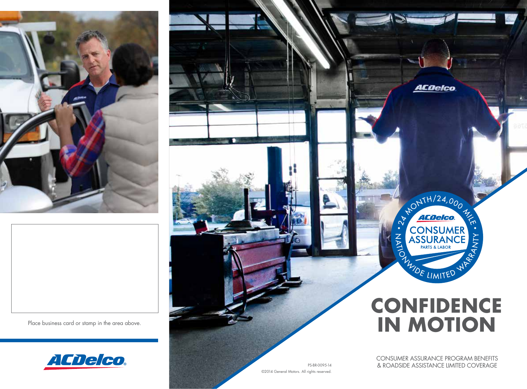



Place business card or stamp in the area above.



PS-BR-0095-14 ©2014 General Motors. All rights reserved.

CONSUMER ASSURANCE PROGRAM BENEFITS & ROADSIDE ASSISTANCE LIMITED COVERAGE

**CONFIDENCE**

NONTH/24,000

CONSUMER<sup>T</sup><br>ASSURANCE

**EXAMPLE ASSURANCE** 

**ACDelco** 

**IN MOTION**